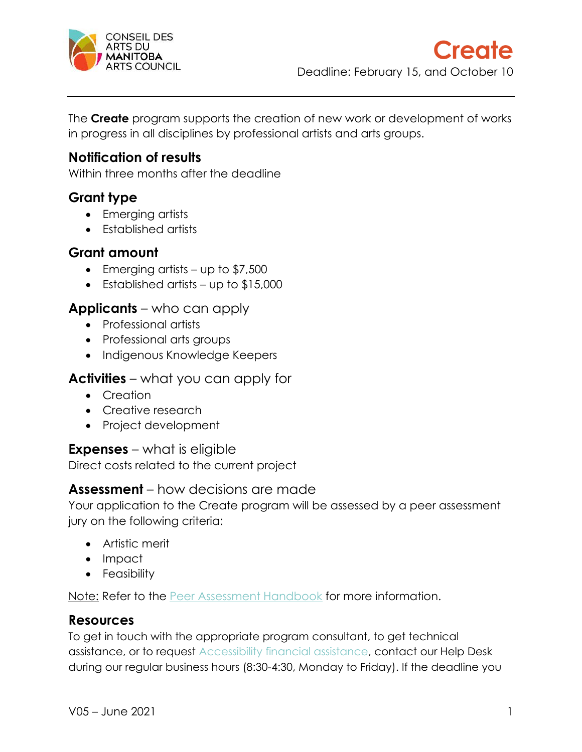

The **Create** program supports the creation of new work or development of works in progress in all disciplines by professional artists and arts groups.

## **Notification of results**

Within three months after the deadline

## **Grant type**

- Emerging artists
- Established artists

### **Grant amount**

- Emerging artists up to \$7,500
- Established artists up to \$15,000

### **Applicants** – who can apply

- Professional artists
- Professional arts groups
- Indigenous Knowledge Keepers

### **Activities** – what you can apply for

- Creation
- Creative research
- Project development

### **Expenses** – what is eligible

Direct costs related to the current project

### **Assessment** – how decisions are made

Your application to the Create program will be assessed by a peer assessment jury on the following criteria:

- Artistic merit
- Impact
- Feasibility

Note: Refer to the [Peer Assessment Handbook](https://artscouncil.mb.ca/grants/peer-assessment/) for more information.

### **Resources**

To get in touch with the appropriate program consultant, to get technical assistance, or to request [Accessibility financial assistance,](https://artscouncil.mb.ca/grants/accessibility/) contact our Help Desk during our regular business hours (8:30-4:30, Monday to Friday). If the deadline you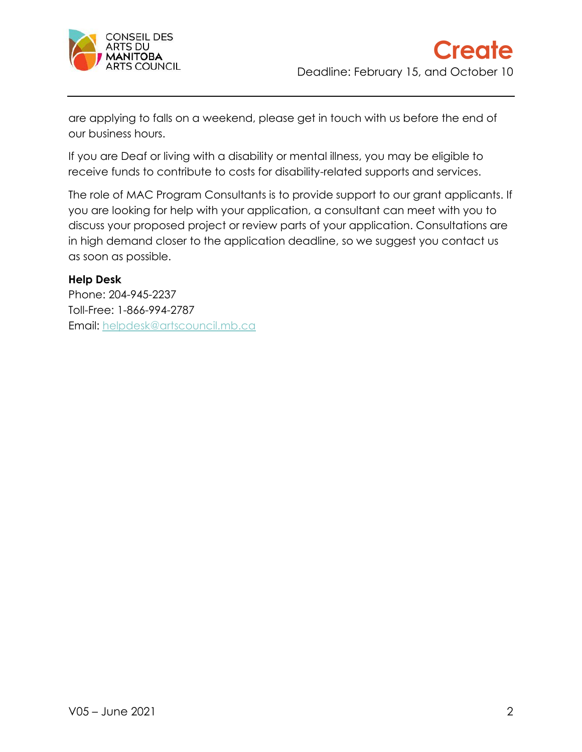

are applying to falls on a weekend, please get in touch with us before the end of our business hours.

If you are Deaf or living with a disability or mental illness, you may be eligible to receive funds to contribute to costs for disability-related supports and services.

The role of MAC Program Consultants is to provide support to our grant applicants. If you are looking for help with your application, a consultant can meet with you to discuss your proposed project or review parts of your application. Consultations are in high demand closer to the application deadline, so we suggest you contact us as soon as possible.

#### **Help Desk**

Phone: 204-945-2237 Toll-Free: 1-866-994-2787 Email: [helpdesk@artscouncil.mb.ca](mailto:helpdesk@artscouncil.mb.ca)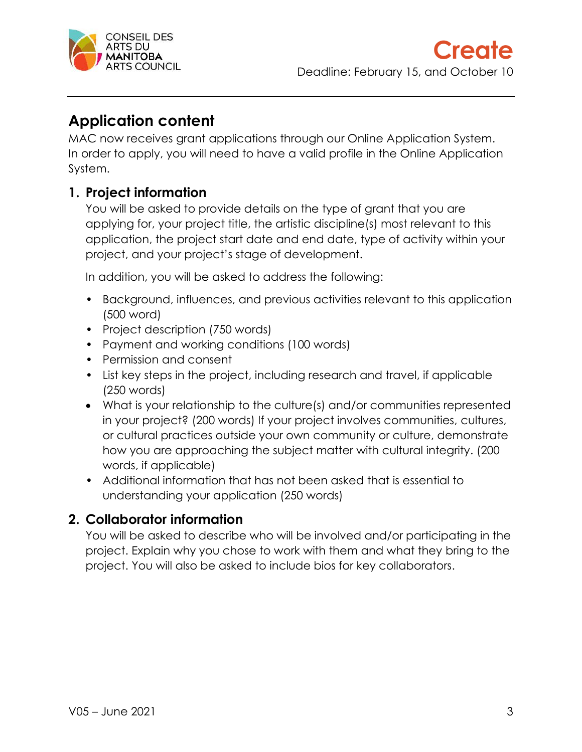

# **Application content**

MAC now receives grant applications through our Online Application System. In order to apply, you will need to have a valid profile in the Online Application System.

## **1. Project information**

You will be asked to provide details on the type of grant that you are applying for, your project title, the artistic discipline(s) most relevant to this application, the project start date and end date, type of activity within your project, and your project's stage of development.

In addition, you will be asked to address the following:

- Background, influences, and previous activities relevant to this application (500 word)
- Project description (750 words)
- Payment and working conditions (100 words)
- Permission and consent
- List key steps in the project, including research and travel, if applicable (250 words)
- What is your relationship to the culture(s) and/or communities represented in your project? (200 words) If your project involves communities, cultures, or cultural practices outside your own community or culture, demonstrate how you are approaching the subject matter with cultural integrity. (200 words, if applicable)
- Additional information that has not been asked that is essential to understanding your application (250 words)

## **2. Collaborator information**

You will be asked to describe who will be involved and/or participating in the project. Explain why you chose to work with them and what they bring to the project. You will also be asked to include bios for key collaborators.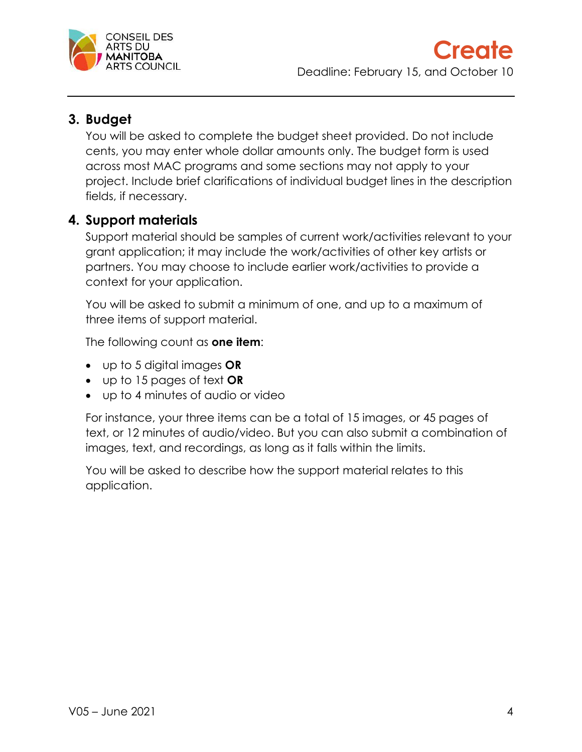

## **3. Budget**

You will be asked to complete the budget sheet provided. Do not include cents, you may enter whole dollar amounts only. The budget form is used across most MAC programs and some sections may not apply to your project. Include brief clarifications of individual budget lines in the description fields, if necessary.

## **4. Support materials**

Support material should be samples of current work/activities relevant to your grant application; it may include the work/activities of other key artists or partners. You may choose to include earlier work/activities to provide a context for your application.

You will be asked to submit a minimum of one, and up to a maximum of three items of support material.

The following count as **one item**:

- up to 5 digital images **OR**
- up to 15 pages of text **OR**
- up to 4 minutes of audio or video

For instance, your three items can be a total of 15 images, or 45 pages of text, or 12 minutes of audio/video. But you can also submit a combination of images, text, and recordings, as long as it falls within the limits.

You will be asked to describe how the support material relates to this application.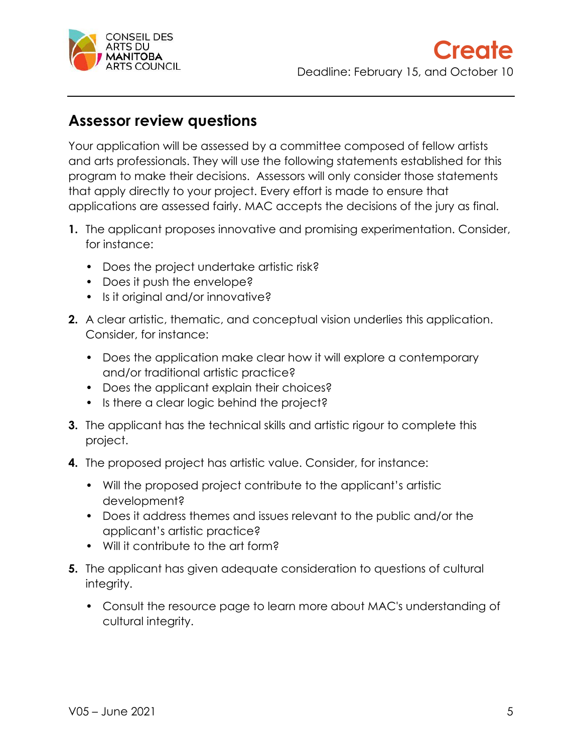

# **Assessor review questions**

Your application will be assessed by a committee composed of fellow artists and arts professionals. They will use the following statements established for this program to make their decisions. Assessors will only consider those statements that apply directly to your project. Every effort is made to ensure that applications are assessed fairly. MAC accepts the decisions of the jury as final.

- **1.** The applicant proposes innovative and promising experimentation. Consider, for instance:
	- Does the project undertake artistic risk?
	- Does it push the envelope?
	- Is it original and/or innovative?
- **2.** A clear artistic, thematic, and conceptual vision underlies this application. Consider, for instance:
	- Does the application make clear how it will explore a contemporary and/or traditional artistic practice?
	- Does the applicant explain their choices?
	- Is there a clear logic behind the project?
- **3.** The applicant has the technical skills and artistic rigour to complete this project.
- **4.** The proposed project has artistic value. Consider, for instance:
	- Will the proposed project contribute to the applicant's artistic development?
	- Does it address themes and issues relevant to the public and/or the applicant's artistic practice?
	- Will it contribute to the art form?
- **5.** The applicant has given adequate consideration to questions of cultural integrity.
	- Consult the resource page to learn more about MAC's understanding of cultural integrity.